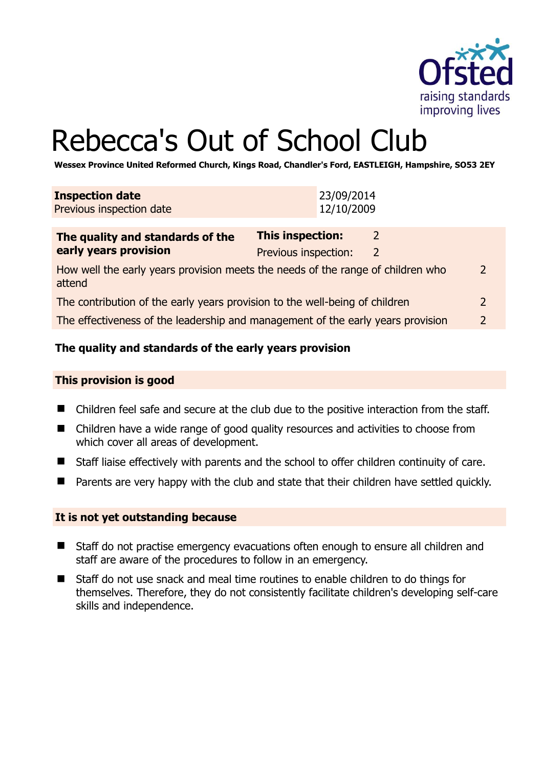

# Rebecca's Out of School Club

**Wessex Province United Reformed Church, Kings Road, Chandler's Ford, EASTLEIGH, Hampshire, SO53 2EY** 

| <b>Inspection date</b><br>Previous inspection date                                                          | 23/09/2014<br>12/10/2009                                               |  |
|-------------------------------------------------------------------------------------------------------------|------------------------------------------------------------------------|--|
| The quality and standards of the<br>early years provision                                                   | <b>This inspection:</b><br>$\overline{2}$<br>Previous inspection:<br>2 |  |
| $\overline{2}$<br>How well the early years provision meets the needs of the range of children who<br>attend |                                                                        |  |
| $\overline{2}$<br>The contribution of the early years provision to the well-being of children               |                                                                        |  |
| $\overline{2}$<br>The effectiveness of the leadership and management of the early years provision           |                                                                        |  |

#### **The quality and standards of the early years provision**

#### **This provision is good**

- Children feel safe and secure at the club due to the positive interaction from the staff.
- Children have a wide range of good quality resources and activities to choose from which cover all areas of development.
- Staff liaise effectively with parents and the school to offer children continuity of care.
- **Parents are very happy with the club and state that their children have settled quickly.**

#### **It is not yet outstanding because**

- Staff do not practise emergency evacuations often enough to ensure all children and staff are aware of the procedures to follow in an emergency.
- Staff do not use snack and meal time routines to enable children to do things for themselves. Therefore, they do not consistently facilitate children's developing self-care skills and independence.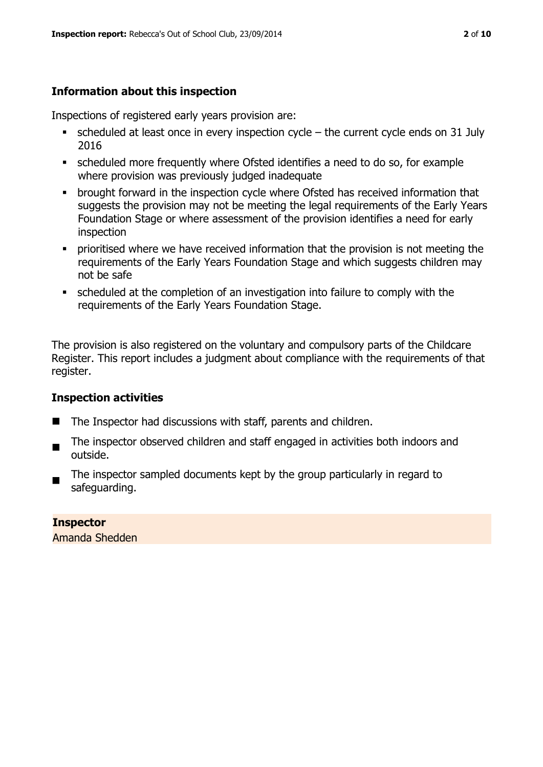#### **Information about this inspection**

Inspections of registered early years provision are:

- $\bullet$  scheduled at least once in every inspection cycle the current cycle ends on 31 July 2016
- scheduled more frequently where Ofsted identifies a need to do so, for example where provision was previously judged inadequate
- **•** brought forward in the inspection cycle where Ofsted has received information that suggests the provision may not be meeting the legal requirements of the Early Years Foundation Stage or where assessment of the provision identifies a need for early inspection
- **•** prioritised where we have received information that the provision is not meeting the requirements of the Early Years Foundation Stage and which suggests children may not be safe
- scheduled at the completion of an investigation into failure to comply with the requirements of the Early Years Foundation Stage.

The provision is also registered on the voluntary and compulsory parts of the Childcare Register. This report includes a judgment about compliance with the requirements of that register.

#### **Inspection activities**

- The Inspector had discussions with staff, parents and children.
- The inspector observed children and staff engaged in activities both indoors and outside.
- The inspector sampled documents kept by the group particularly in regard to safeguarding.

## **Inspector**

Amanda Shedden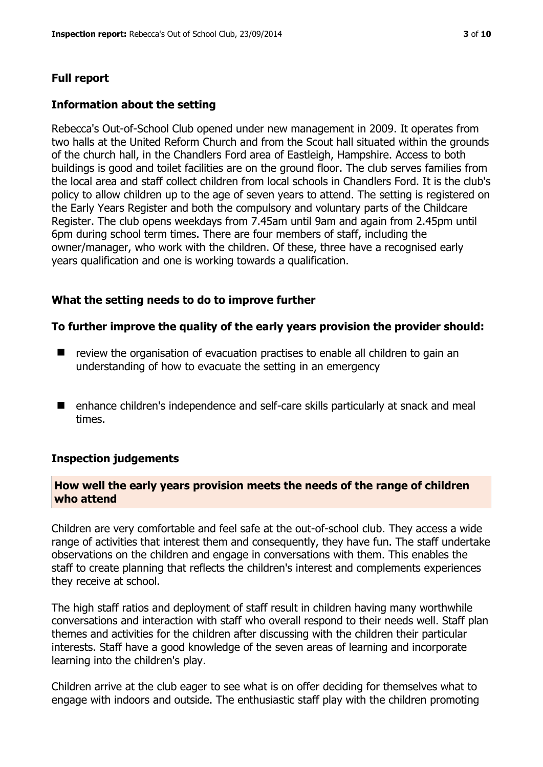#### **Full report**

#### **Information about the setting**

Rebecca's Out-of-School Club opened under new management in 2009. It operates from two halls at the United Reform Church and from the Scout hall situated within the grounds of the church hall, in the Chandlers Ford area of Eastleigh, Hampshire. Access to both buildings is good and toilet facilities are on the ground floor. The club serves families from the local area and staff collect children from local schools in Chandlers Ford. It is the club's policy to allow children up to the age of seven years to attend. The setting is registered on the Early Years Register and both the compulsory and voluntary parts of the Childcare Register. The club opens weekdays from 7.45am until 9am and again from 2.45pm until 6pm during school term times. There are four members of staff, including the owner/manager, who work with the children. Of these, three have a recognised early years qualification and one is working towards a qualification.

#### **What the setting needs to do to improve further**

#### **To further improve the quality of the early years provision the provider should:**

- $\blacksquare$  review the organisation of evacuation practises to enable all children to gain an understanding of how to evacuate the setting in an emergency
- enhance children's independence and self-care skills particularly at snack and meal times.

#### **Inspection judgements**

#### **How well the early years provision meets the needs of the range of children who attend**

Children are very comfortable and feel safe at the out-of-school club. They access a wide range of activities that interest them and consequently, they have fun. The staff undertake observations on the children and engage in conversations with them. This enables the staff to create planning that reflects the children's interest and complements experiences they receive at school.

The high staff ratios and deployment of staff result in children having many worthwhile conversations and interaction with staff who overall respond to their needs well. Staff plan themes and activities for the children after discussing with the children their particular interests. Staff have a good knowledge of the seven areas of learning and incorporate learning into the children's play.

Children arrive at the club eager to see what is on offer deciding for themselves what to engage with indoors and outside. The enthusiastic staff play with the children promoting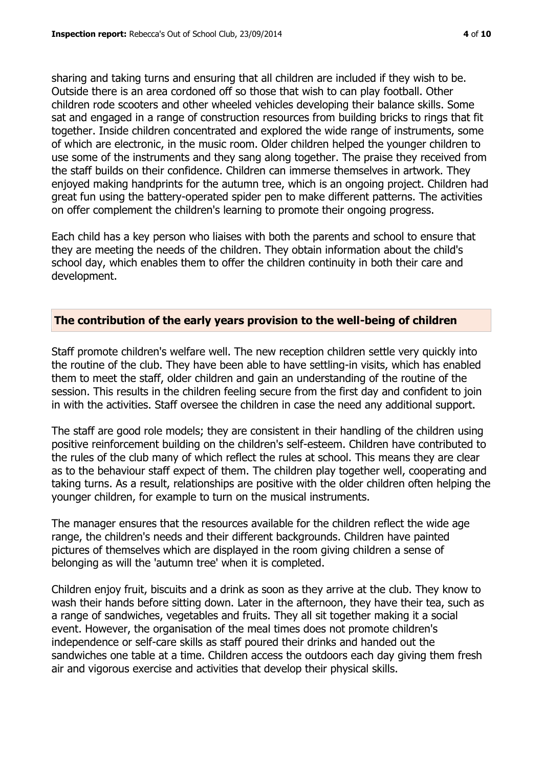sharing and taking turns and ensuring that all children are included if they wish to be. Outside there is an area cordoned off so those that wish to can play football. Other children rode scooters and other wheeled vehicles developing their balance skills. Some sat and engaged in a range of construction resources from building bricks to rings that fit together. Inside children concentrated and explored the wide range of instruments, some of which are electronic, in the music room. Older children helped the younger children to use some of the instruments and they sang along together. The praise they received from the staff builds on their confidence. Children can immerse themselves in artwork. They enjoyed making handprints for the autumn tree, which is an ongoing project. Children had great fun using the battery-operated spider pen to make different patterns. The activities on offer complement the children's learning to promote their ongoing progress.

Each child has a key person who liaises with both the parents and school to ensure that they are meeting the needs of the children. They obtain information about the child's school day, which enables them to offer the children continuity in both their care and development.

#### **The contribution of the early years provision to the well-being of children**

Staff promote children's welfare well. The new reception children settle very quickly into the routine of the club. They have been able to have settling-in visits, which has enabled them to meet the staff, older children and gain an understanding of the routine of the session. This results in the children feeling secure from the first day and confident to join in with the activities. Staff oversee the children in case the need any additional support.

The staff are good role models; they are consistent in their handling of the children using positive reinforcement building on the children's self-esteem. Children have contributed to the rules of the club many of which reflect the rules at school. This means they are clear as to the behaviour staff expect of them. The children play together well, cooperating and taking turns. As a result, relationships are positive with the older children often helping the younger children, for example to turn on the musical instruments.

The manager ensures that the resources available for the children reflect the wide age range, the children's needs and their different backgrounds. Children have painted pictures of themselves which are displayed in the room giving children a sense of belonging as will the 'autumn tree' when it is completed.

Children enjoy fruit, biscuits and a drink as soon as they arrive at the club. They know to wash their hands before sitting down. Later in the afternoon, they have their tea, such as a range of sandwiches, vegetables and fruits. They all sit together making it a social event. However, the organisation of the meal times does not promote children's independence or self-care skills as staff poured their drinks and handed out the sandwiches one table at a time. Children access the outdoors each day giving them fresh air and vigorous exercise and activities that develop their physical skills.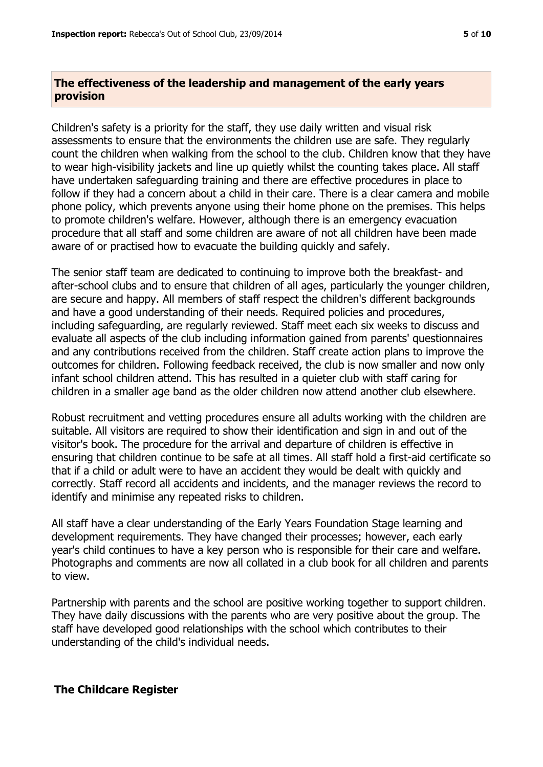#### **The effectiveness of the leadership and management of the early years provision**

Children's safety is a priority for the staff, they use daily written and visual risk assessments to ensure that the environments the children use are safe. They regularly count the children when walking from the school to the club. Children know that they have to wear high-visibility jackets and line up quietly whilst the counting takes place. All staff have undertaken safeguarding training and there are effective procedures in place to follow if they had a concern about a child in their care. There is a clear camera and mobile phone policy, which prevents anyone using their home phone on the premises. This helps to promote children's welfare. However, although there is an emergency evacuation procedure that all staff and some children are aware of not all children have been made aware of or practised how to evacuate the building quickly and safely.

The senior staff team are dedicated to continuing to improve both the breakfast- and after-school clubs and to ensure that children of all ages, particularly the younger children, are secure and happy. All members of staff respect the children's different backgrounds and have a good understanding of their needs. Required policies and procedures, including safeguarding, are regularly reviewed. Staff meet each six weeks to discuss and evaluate all aspects of the club including information gained from parents' questionnaires and any contributions received from the children. Staff create action plans to improve the outcomes for children. Following feedback received, the club is now smaller and now only infant school children attend. This has resulted in a quieter club with staff caring for children in a smaller age band as the older children now attend another club elsewhere.

Robust recruitment and vetting procedures ensure all adults working with the children are suitable. All visitors are required to show their identification and sign in and out of the visitor's book. The procedure for the arrival and departure of children is effective in ensuring that children continue to be safe at all times. All staff hold a first-aid certificate so that if a child or adult were to have an accident they would be dealt with quickly and correctly. Staff record all accidents and incidents, and the manager reviews the record to identify and minimise any repeated risks to children.

All staff have a clear understanding of the Early Years Foundation Stage learning and development requirements. They have changed their processes; however, each early year's child continues to have a key person who is responsible for their care and welfare. Photographs and comments are now all collated in a club book for all children and parents to view.

Partnership with parents and the school are positive working together to support children. They have daily discussions with the parents who are very positive about the group. The staff have developed good relationships with the school which contributes to their understanding of the child's individual needs.

#### **The Childcare Register**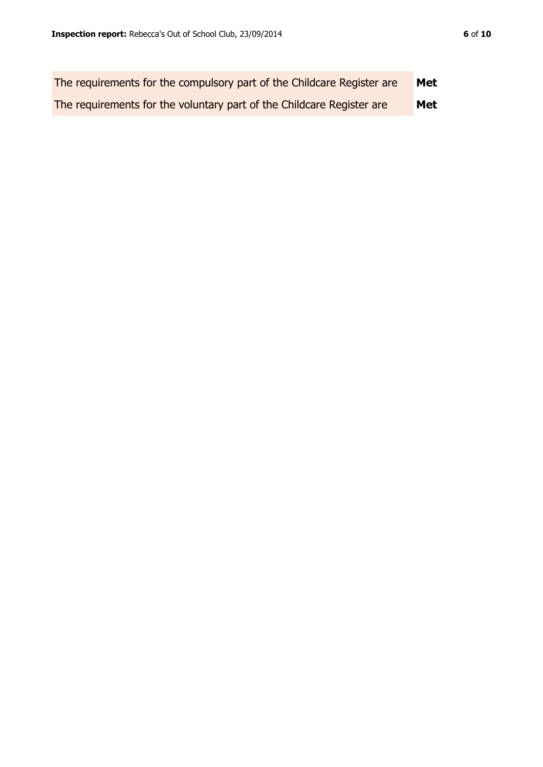| The requirements for the compulsory part of the Childcare Register are | Met        |
|------------------------------------------------------------------------|------------|
| The requirements for the voluntary part of the Childcare Register are  | <b>Met</b> |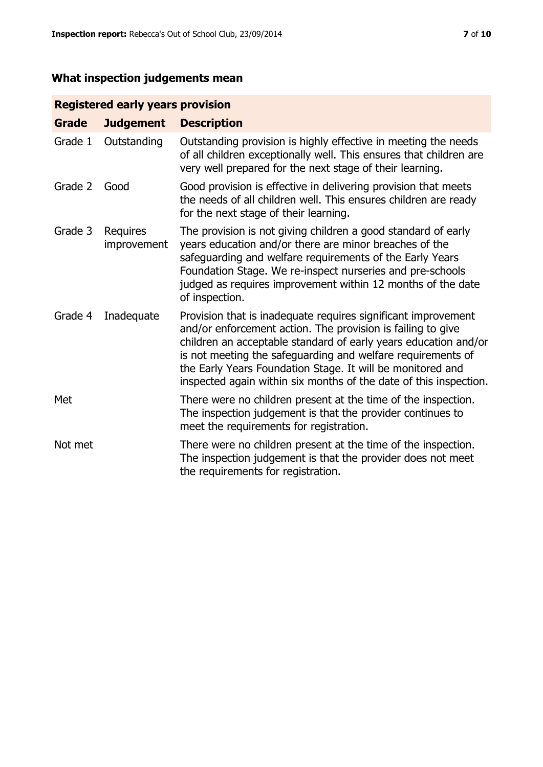### **What inspection judgements mean**

#### **Registered early years provision**

| <b>Grade</b> | <b>Judgement</b>        | <b>Description</b>                                                                                                                                                                                                                                                                                                                                                                                |
|--------------|-------------------------|---------------------------------------------------------------------------------------------------------------------------------------------------------------------------------------------------------------------------------------------------------------------------------------------------------------------------------------------------------------------------------------------------|
| Grade 1      | Outstanding             | Outstanding provision is highly effective in meeting the needs<br>of all children exceptionally well. This ensures that children are<br>very well prepared for the next stage of their learning.                                                                                                                                                                                                  |
| Grade 2      | Good                    | Good provision is effective in delivering provision that meets<br>the needs of all children well. This ensures children are ready<br>for the next stage of their learning.                                                                                                                                                                                                                        |
| Grade 3      | Requires<br>improvement | The provision is not giving children a good standard of early<br>years education and/or there are minor breaches of the<br>safeguarding and welfare requirements of the Early Years<br>Foundation Stage. We re-inspect nurseries and pre-schools<br>judged as requires improvement within 12 months of the date<br>of inspection.                                                                 |
| Grade 4      | Inadequate              | Provision that is inadequate requires significant improvement<br>and/or enforcement action. The provision is failing to give<br>children an acceptable standard of early years education and/or<br>is not meeting the safeguarding and welfare requirements of<br>the Early Years Foundation Stage. It will be monitored and<br>inspected again within six months of the date of this inspection. |
| Met          |                         | There were no children present at the time of the inspection.<br>The inspection judgement is that the provider continues to<br>meet the requirements for registration.                                                                                                                                                                                                                            |
| Not met      |                         | There were no children present at the time of the inspection.<br>The inspection judgement is that the provider does not meet<br>the requirements for registration.                                                                                                                                                                                                                                |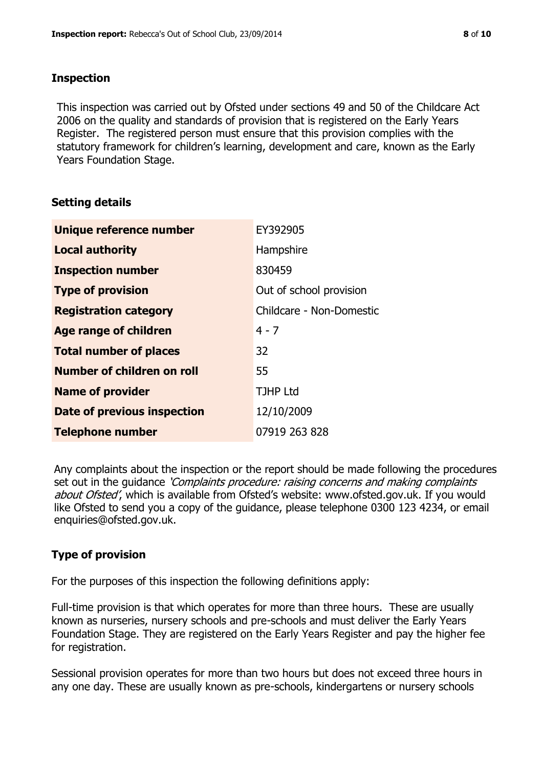#### **Inspection**

This inspection was carried out by Ofsted under sections 49 and 50 of the Childcare Act 2006 on the quality and standards of provision that is registered on the Early Years Register. The registered person must ensure that this provision complies with the statutory framework for children's learning, development and care, known as the Early Years Foundation Stage.

#### **Setting details**

| Unique reference number       | EY392905                 |
|-------------------------------|--------------------------|
| <b>Local authority</b>        | Hampshire                |
| <b>Inspection number</b>      | 830459                   |
| <b>Type of provision</b>      | Out of school provision  |
| <b>Registration category</b>  | Childcare - Non-Domestic |
| <b>Age range of children</b>  | $4 - 7$                  |
| <b>Total number of places</b> | 32                       |
| Number of children on roll    | 55                       |
| <b>Name of provider</b>       | <b>TJHP Ltd</b>          |
| Date of previous inspection   | 12/10/2009               |
| <b>Telephone number</b>       | 07919 263 828            |

Any complaints about the inspection or the report should be made following the procedures set out in the guidance *'Complaints procedure: raising concerns and making complaints* about Ofsted', which is available from Ofsted's website: www.ofsted.gov.uk. If you would like Ofsted to send you a copy of the guidance, please telephone 0300 123 4234, or email enquiries@ofsted.gov.uk.

#### **Type of provision**

For the purposes of this inspection the following definitions apply:

Full-time provision is that which operates for more than three hours. These are usually known as nurseries, nursery schools and pre-schools and must deliver the Early Years Foundation Stage. They are registered on the Early Years Register and pay the higher fee for registration.

Sessional provision operates for more than two hours but does not exceed three hours in any one day. These are usually known as pre-schools, kindergartens or nursery schools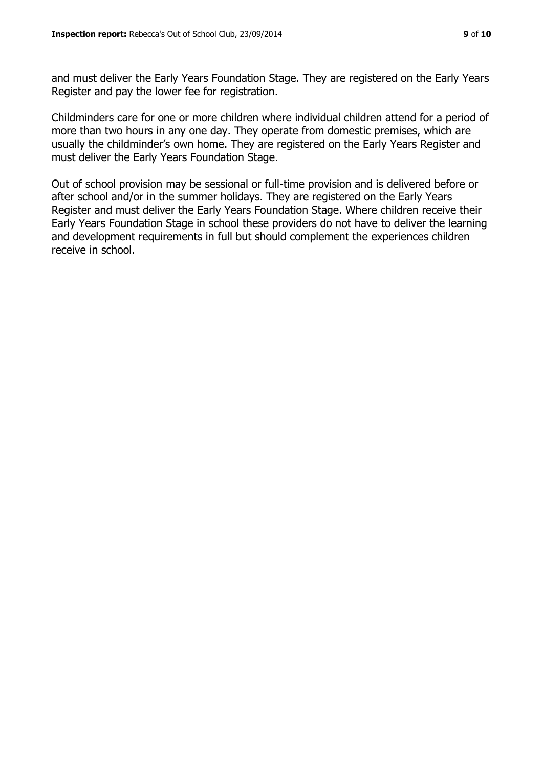and must deliver the Early Years Foundation Stage. They are registered on the Early Years Register and pay the lower fee for registration.

Childminders care for one or more children where individual children attend for a period of more than two hours in any one day. They operate from domestic premises, which are usually the childminder's own home. They are registered on the Early Years Register and must deliver the Early Years Foundation Stage.

Out of school provision may be sessional or full-time provision and is delivered before or after school and/or in the summer holidays. They are registered on the Early Years Register and must deliver the Early Years Foundation Stage. Where children receive their Early Years Foundation Stage in school these providers do not have to deliver the learning and development requirements in full but should complement the experiences children receive in school.